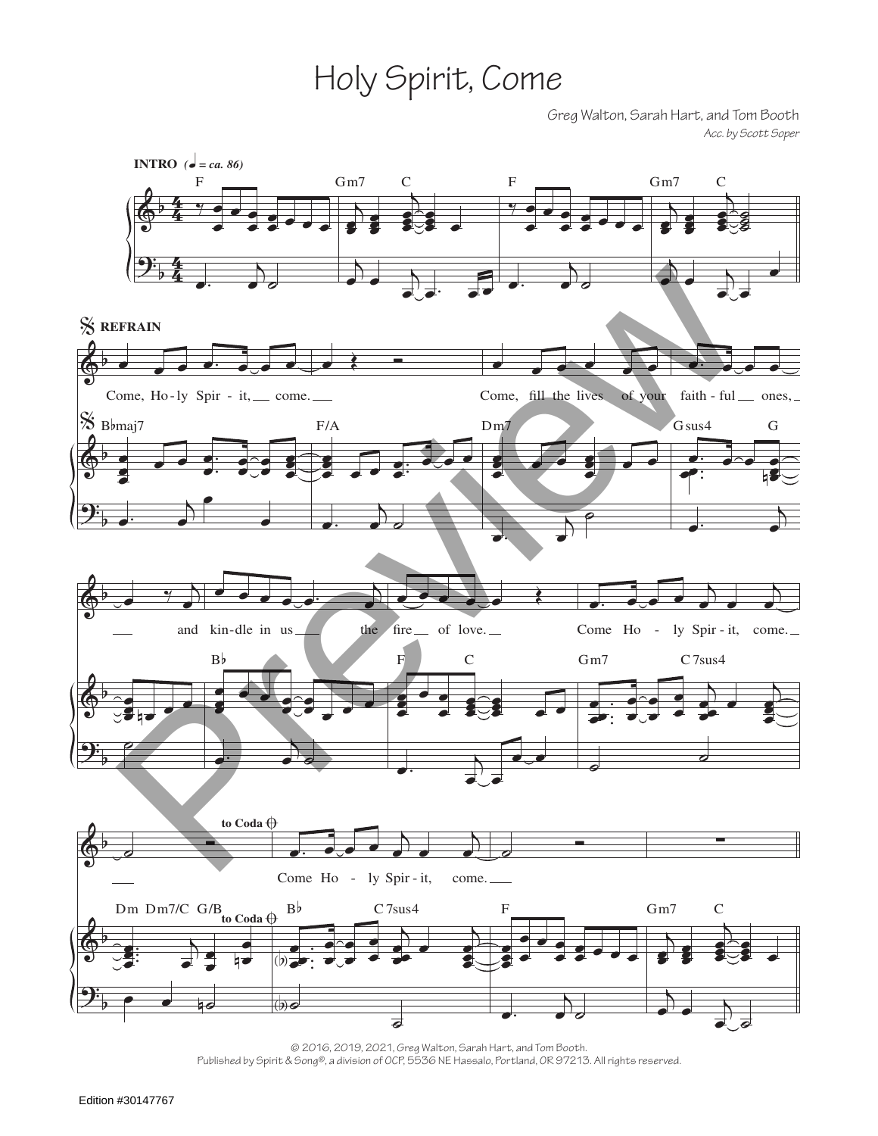## Holy Spirit, Come

Greg Walton, Sarah Hart, and Tom Booth *Acc. by Scott Soper*



<sup>© 2016, 2019, 2021,</sup> Greg Walton, Sarah Hart, and Tom Booth. Published by Spirit & Song®, a division of OCP, 5536 NE Hassalo, Portland, OR 97213. All rights reserved.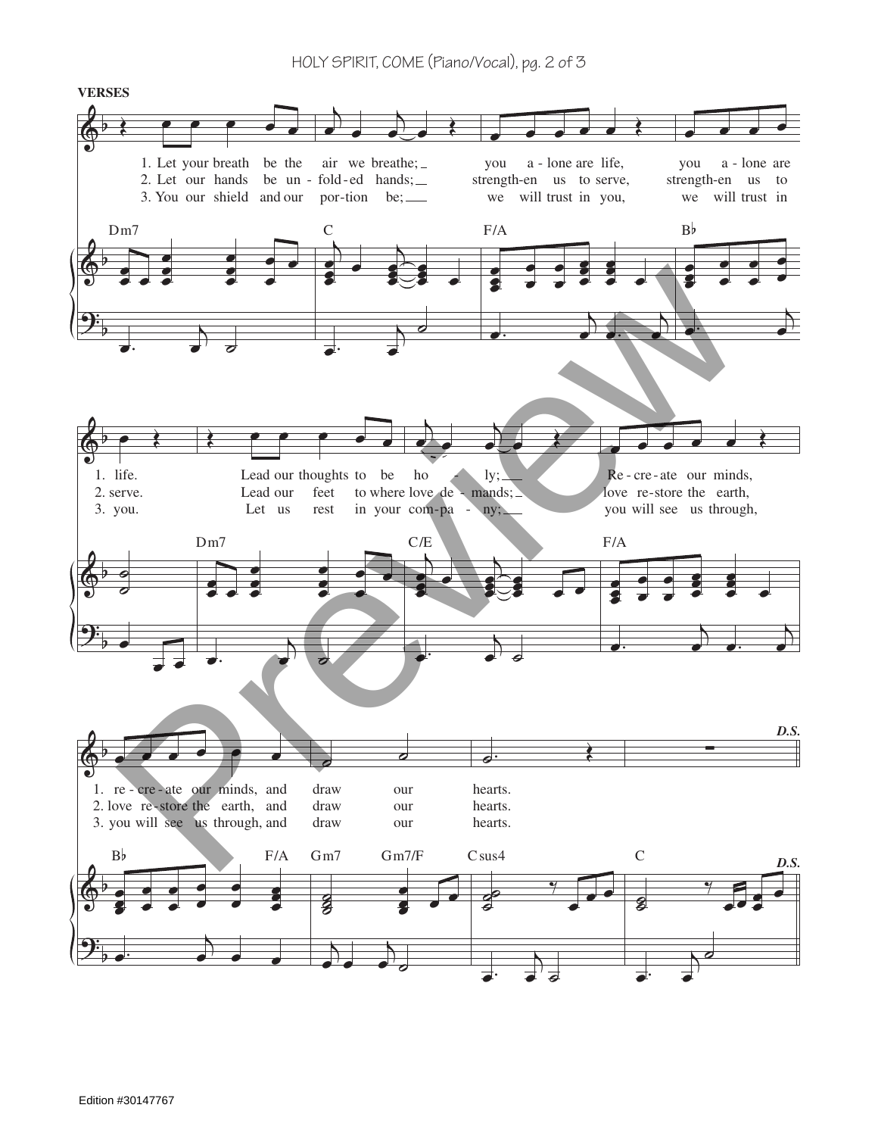